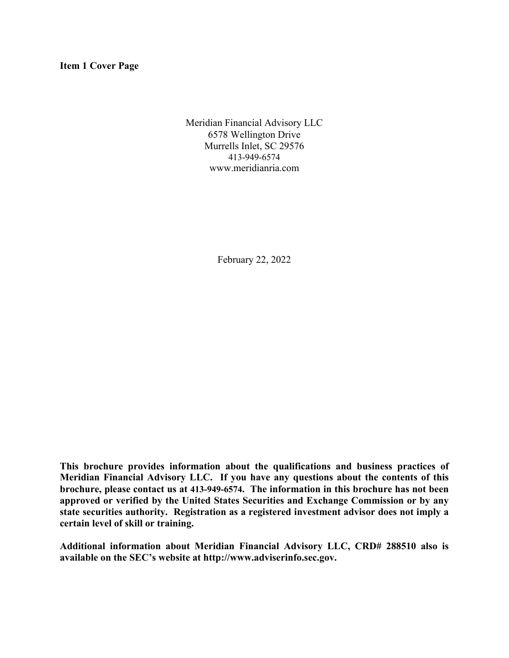**Item 1 Cover Page**

Meridian Financial Advisory LLC 6578 Wellington Drive Murrells Inlet, SC 29576 413-949-6574 www.meridianria.com

February 22, 2022

**This brochure provides information about the qualifications and business practices of Meridian Financial Advisory LLC. If you have any questions about the contents of this brochure, please contact us at 413-949-6574. The information in this brochure has not been approved or verified by the United States Securities and Exchange Commission or by any state securities authority. Registration as a registered investment advisor does not imply a certain level of skill or training.**

**Additional information about Meridian Financial Advisory LLC, CRD# 288510 also is available on the SEC's website at http://www.adviserinfo.sec.gov.**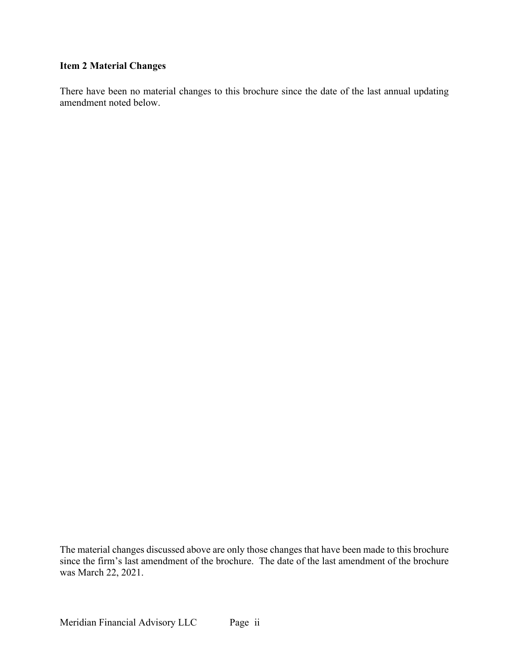# **Item 2 Material Changes**

There have been no material changes to this brochure since the date of the last annual updating amendment noted below.

The material changes discussed above are only those changes that have been made to this brochure since the firm's last amendment of the brochure. The date of the last amendment of the brochure was March 22, 2021.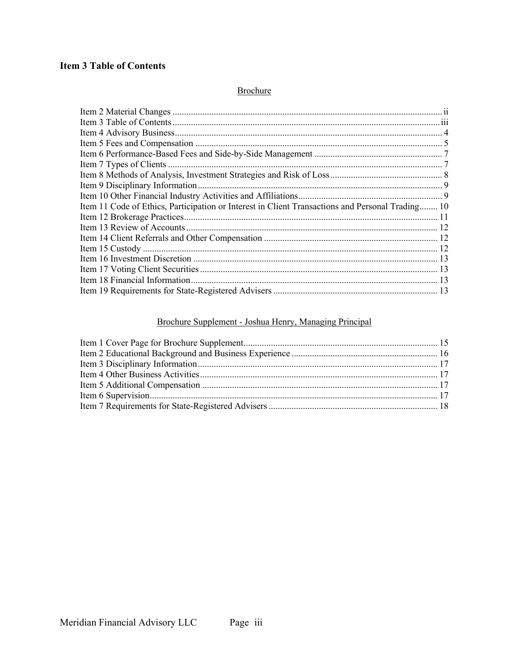# **Item 3 Table of Contents**

# **Brochure**

| Item 11 Code of Ethics, Participation or Interest in Client Transactions and Personal Trading 10 |  |
|--------------------------------------------------------------------------------------------------|--|
|                                                                                                  |  |
|                                                                                                  |  |
|                                                                                                  |  |
|                                                                                                  |  |
|                                                                                                  |  |
|                                                                                                  |  |
|                                                                                                  |  |
|                                                                                                  |  |

# Brochure Supplement - Joshua Henry, Managing Principal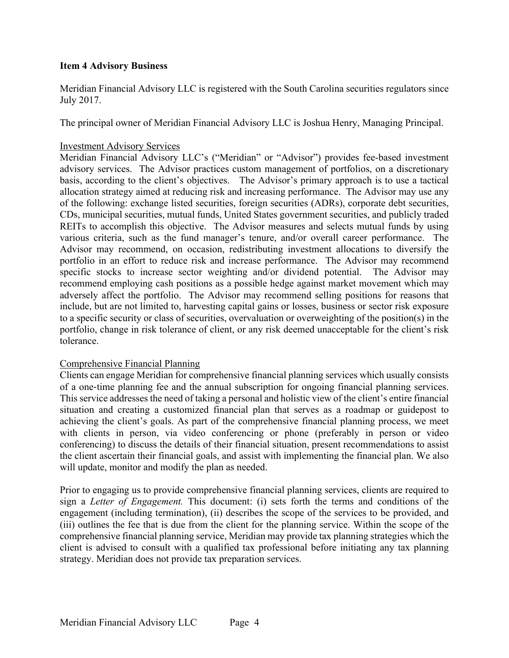## **Item 4 Advisory Business**

Meridian Financial Advisory LLC is registered with the South Carolina securities regulators since July 2017.

The principal owner of Meridian Financial Advisory LLC is Joshua Henry, Managing Principal.

## Investment Advisory Services

Meridian Financial Advisory LLC's ("Meridian" or "Advisor") provides fee-based investment advisory services. The Advisor practices custom management of portfolios, on a discretionary basis, according to the client's objectives. The Advisor's primary approach is to use a tactical allocation strategy aimed at reducing risk and increasing performance. The Advisor may use any of the following: exchange listed securities, foreign securities (ADRs), corporate debt securities, CDs, municipal securities, mutual funds, United States government securities, and publicly traded REITs to accomplish this objective. The Advisor measures and selects mutual funds by using various criteria, such as the fund manager's tenure, and/or overall career performance. The Advisor may recommend, on occasion, redistributing investment allocations to diversify the portfolio in an effort to reduce risk and increase performance. The Advisor may recommend specific stocks to increase sector weighting and/or dividend potential. The Advisor may recommend employing cash positions as a possible hedge against market movement which may adversely affect the portfolio. The Advisor may recommend selling positions for reasons that include, but are not limited to, harvesting capital gains or losses, business or sector risk exposure to a specific security or class of securities, overvaluation or overweighting of the position(s) in the portfolio, change in risk tolerance of client, or any risk deemed unacceptable for the client's risk tolerance.

### Comprehensive Financial Planning

Clients can engage Meridian for comprehensive financial planning services which usually consists of a one-time planning fee and the annual subscription for ongoing financial planning services. This service addresses the need of taking a personal and holistic view of the client's entire financial situation and creating a customized financial plan that serves as a roadmap or guidepost to achieving the client's goals. As part of the comprehensive financial planning process, we meet with clients in person, via video conferencing or phone (preferably in person or video conferencing) to discuss the details of their financial situation, present recommendations to assist the client ascertain their financial goals, and assist with implementing the financial plan. We also will update, monitor and modify the plan as needed.

Prior to engaging us to provide comprehensive financial planning services, clients are required to sign a *Letter of Engagement.* This document: (i) sets forth the terms and conditions of the engagement (including termination), (ii) describes the scope of the services to be provided, and (iii) outlines the fee that is due from the client for the planning service. Within the scope of the comprehensive financial planning service, Meridian may provide tax planning strategies which the client is advised to consult with a qualified tax professional before initiating any tax planning strategy. Meridian does not provide tax preparation services.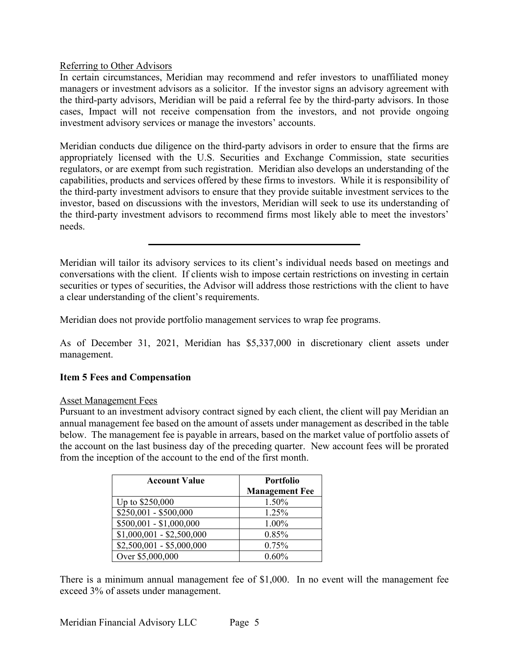### Referring to Other Advisors

In certain circumstances, Meridian may recommend and refer investors to unaffiliated money managers or investment advisors as a solicitor. If the investor signs an advisory agreement with the third-party advisors, Meridian will be paid a referral fee by the third-party advisors. In those cases, Impact will not receive compensation from the investors, and not provide ongoing investment advisory services or manage the investors' accounts.

Meridian conducts due diligence on the third-party advisors in order to ensure that the firms are appropriately licensed with the U.S. Securities and Exchange Commission, state securities regulators, or are exempt from such registration. Meridian also develops an understanding of the capabilities, products and services offered by these firms to investors. While it is responsibility of the third-party investment advisors to ensure that they provide suitable investment services to the investor, based on discussions with the investors, Meridian will seek to use its understanding of the third-party investment advisors to recommend firms most likely able to meet the investors' needs.

Meridian will tailor its advisory services to its client's individual needs based on meetings and conversations with the client. If clients wish to impose certain restrictions on investing in certain securities or types of securities, the Advisor will address those restrictions with the client to have a clear understanding of the client's requirements.

Meridian does not provide portfolio management services to wrap fee programs.

As of December 31, 2021, Meridian has \$5,337,000 in discretionary client assets under management.

### **Item 5 Fees and Compensation**

#### Asset Management Fees

Pursuant to an investment advisory contract signed by each client, the client will pay Meridian an annual management fee based on the amount of assets under management as described in the table below. The management fee is payable in arrears, based on the market value of portfolio assets of the account on the last business day of the preceding quarter. New account fees will be prorated from the inception of the account to the end of the first month.

| <b>Account Value</b>      | <b>Portfolio</b>      |
|---------------------------|-----------------------|
|                           | <b>Management Fee</b> |
| Up to \$250,000           | 1.50%                 |
| $$250,001 - $500,000$     | 1.25%                 |
| $$500,001 - $1,000,000$   | 1.00%                 |
| $$1,000,001 - $2,500,000$ | 0.85%                 |
| $$2,500,001 - $5,000,000$ | 0.75%                 |
| Over \$5,000,000          | $0.60\%$              |

There is a minimum annual management fee of \$1,000. In no event will the management fee exceed 3% of assets under management.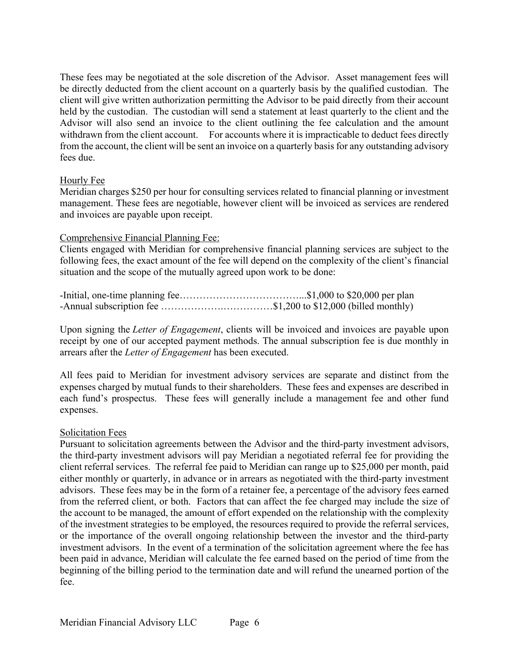These fees may be negotiated at the sole discretion of the Advisor. Asset management fees will be directly deducted from the client account on a quarterly basis by the qualified custodian. The client will give written authorization permitting the Advisor to be paid directly from their account held by the custodian. The custodian will send a statement at least quarterly to the client and the Advisor will also send an invoice to the client outlining the fee calculation and the amount withdrawn from the client account. For accounts where it is impracticable to deduct fees directly from the account, the client will be sent an invoice on a quarterly basis for any outstanding advisory fees due.

## Hourly Fee

Meridian charges \$250 per hour for consulting services related to financial planning or investment management. These fees are negotiable, however client will be invoiced as services are rendered and invoices are payable upon receipt.

## Comprehensive Financial Planning Fee:

Clients engaged with Meridian for comprehensive financial planning services are subject to the following fees, the exact amount of the fee will depend on the complexity of the client's financial situation and the scope of the mutually agreed upon work to be done:

| -Annual subscription fee \$1,200 to \$12,000 (billed monthly) |  |
|---------------------------------------------------------------|--|

Upon signing the *Letter of Engagement*, clients will be invoiced and invoices are payable upon receipt by one of our accepted payment methods. The annual subscription fee is due monthly in arrears after the *Letter of Engagement* has been executed.

All fees paid to Meridian for investment advisory services are separate and distinct from the expenses charged by mutual funds to their shareholders. These fees and expenses are described in each fund's prospectus. These fees will generally include a management fee and other fund expenses.

### Solicitation Fees

Pursuant to solicitation agreements between the Advisor and the third-party investment advisors, the third-party investment advisors will pay Meridian a negotiated referral fee for providing the client referral services. The referral fee paid to Meridian can range up to \$25,000 per month, paid either monthly or quarterly, in advance or in arrears as negotiated with the third-party investment advisors. These fees may be in the form of a retainer fee, a percentage of the advisory fees earned from the referred client, or both. Factors that can affect the fee charged may include the size of the account to be managed, the amount of effort expended on the relationship with the complexity of the investment strategies to be employed, the resources required to provide the referral services, or the importance of the overall ongoing relationship between the investor and the third-party investment advisors. In the event of a termination of the solicitation agreement where the fee has been paid in advance, Meridian will calculate the fee earned based on the period of time from the beginning of the billing period to the termination date and will refund the unearned portion of the fee.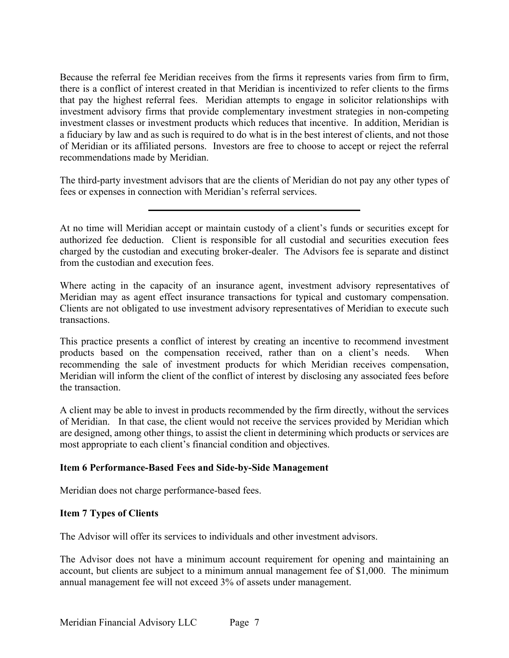Because the referral fee Meridian receives from the firms it represents varies from firm to firm, there is a conflict of interest created in that Meridian is incentivized to refer clients to the firms that pay the highest referral fees. Meridian attempts to engage in solicitor relationships with investment advisory firms that provide complementary investment strategies in non-competing investment classes or investment products which reduces that incentive. In addition, Meridian is a fiduciary by law and as such is required to do what is in the best interest of clients, and not those of Meridian or its affiliated persons. Investors are free to choose to accept or reject the referral recommendations made by Meridian.

The third-party investment advisors that are the clients of Meridian do not pay any other types of fees or expenses in connection with Meridian's referral services.

Where acting in the capacity of an insurance agent, investment advisory representatives of Meridian may as agent effect insurance transactions for typical and customary compensation. Clients are not obligated to use investment advisory representatives of Meridian to execute such transactions.

This practice presents a conflict of interest by creating an incentive to recommend investment products based on the compensation received, rather than on a client's needs. When recommending the sale of investment products for which Meridian receives compensation, Meridian will inform the client of the conflict of interest by disclosing any associated fees before the transaction.

A client may be able to invest in products recommended by the firm directly, without the services of Meridian. In that case, the client would not receive the services provided by Meridian which are designed, among other things, to assist the client in determining which products or services are most appropriate to each client's financial condition and objectives.

# **Item 6 Performance-Based Fees and Side-by-Side Management**

Meridian does not charge performance-based fees.

# **Item 7 Types of Clients**

The Advisor will offer its services to individuals and other investment advisors.

The Advisor does not have a minimum account requirement for opening and maintaining an account, but clients are subject to a minimum annual management fee of \$1,000. The minimum annual management fee will not exceed 3% of assets under management.

At no time will Meridian accept or maintain custody of a client's funds or securities except for authorized fee deduction. Client is responsible for all custodial and securities execution fees charged by the custodian and executing broker-dealer. The Advisors fee is separate and distinct from the custodian and execution fees.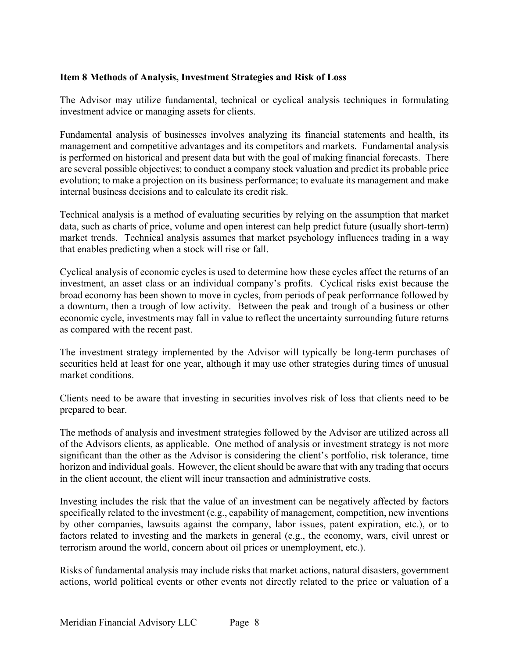## **Item 8 Methods of Analysis, Investment Strategies and Risk of Loss**

The Advisor may utilize fundamental, technical or cyclical analysis techniques in formulating investment advice or managing assets for clients.

Fundamental analysis of businesses involves analyzing its financial statements and health, its management and competitive advantages and its competitors and markets. Fundamental analysis is performed on historical and present data but with the goal of making financial forecasts. There are several possible objectives; to conduct a company stock valuation and predict its probable price evolution; to make a projection on its business performance; to evaluate its management and make internal business decisions and to calculate its credit risk.

Technical analysis is a method of evaluating securities by relying on the assumption that market data, such as charts of price, volume and open interest can help predict future (usually short-term) market trends. Technical analysis assumes that market psychology influences trading in a way that enables predicting when a stock will rise or fall.

Cyclical analysis of economic cycles is used to determine how these cycles affect the returns of an investment, an asset class or an individual company's profits. Cyclical risks exist because the broad economy has been shown to move in cycles, from periods of peak performance followed by a downturn, then a trough of low activity. Between the peak and trough of a business or other economic cycle, investments may fall in value to reflect the uncertainty surrounding future returns as compared with the recent past.

The investment strategy implemented by the Advisor will typically be long-term purchases of securities held at least for one year, although it may use other strategies during times of unusual market conditions.

Clients need to be aware that investing in securities involves risk of loss that clients need to be prepared to bear.

The methods of analysis and investment strategies followed by the Advisor are utilized across all of the Advisors clients, as applicable. One method of analysis or investment strategy is not more significant than the other as the Advisor is considering the client's portfolio, risk tolerance, time horizon and individual goals. However, the client should be aware that with any trading that occurs in the client account, the client will incur transaction and administrative costs.

Investing includes the risk that the value of an investment can be negatively affected by factors specifically related to the investment (e.g., capability of management, competition, new inventions by other companies, lawsuits against the company, labor issues, patent expiration, etc.), or to factors related to investing and the markets in general (e.g., the economy, wars, civil unrest or terrorism around the world, concern about oil prices or unemployment, etc.).

Risks of fundamental analysis may include risks that market actions, natural disasters, government actions, world political events or other events not directly related to the price or valuation of a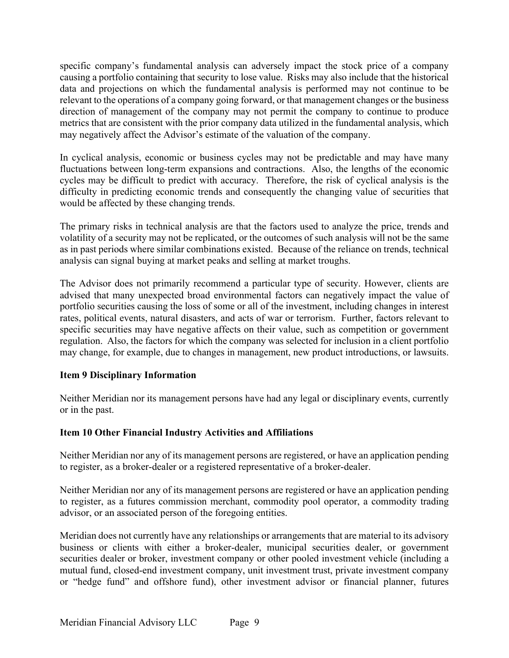specific company's fundamental analysis can adversely impact the stock price of a company causing a portfolio containing that security to lose value. Risks may also include that the historical data and projections on which the fundamental analysis is performed may not continue to be relevant to the operations of a company going forward, or that management changes or the business direction of management of the company may not permit the company to continue to produce metrics that are consistent with the prior company data utilized in the fundamental analysis, which may negatively affect the Advisor's estimate of the valuation of the company.

In cyclical analysis, economic or business cycles may not be predictable and may have many fluctuations between long-term expansions and contractions. Also, the lengths of the economic cycles may be difficult to predict with accuracy. Therefore, the risk of cyclical analysis is the difficulty in predicting economic trends and consequently the changing value of securities that would be affected by these changing trends.

The primary risks in technical analysis are that the factors used to analyze the price, trends and volatility of a security may not be replicated, or the outcomes of such analysis will not be the same as in past periods where similar combinations existed. Because of the reliance on trends, technical analysis can signal buying at market peaks and selling at market troughs.

The Advisor does not primarily recommend a particular type of security. However, clients are advised that many unexpected broad environmental factors can negatively impact the value of portfolio securities causing the loss of some or all of the investment, including changes in interest rates, political events, natural disasters, and acts of war or terrorism. Further, factors relevant to specific securities may have negative affects on their value, such as competition or government regulation. Also, the factors for which the company was selected for inclusion in a client portfolio may change, for example, due to changes in management, new product introductions, or lawsuits.

# **Item 9 Disciplinary Information**

Neither Meridian nor its management persons have had any legal or disciplinary events, currently or in the past.

# **Item 10 Other Financial Industry Activities and Affiliations**

Neither Meridian nor any of its management persons are registered, or have an application pending to register, as a broker-dealer or a registered representative of a broker-dealer.

Neither Meridian nor any of its management persons are registered or have an application pending to register, as a futures commission merchant, commodity pool operator, a commodity trading advisor, or an associated person of the foregoing entities.

Meridian does not currently have any relationships or arrangements that are material to its advisory business or clients with either a broker-dealer, municipal securities dealer, or government securities dealer or broker, investment company or other pooled investment vehicle (including a mutual fund, closed-end investment company, unit investment trust, private investment company or "hedge fund" and offshore fund), other investment advisor or financial planner, futures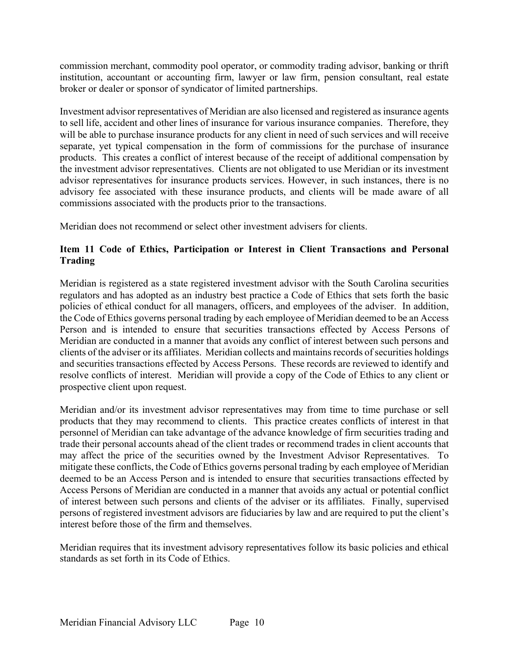commission merchant, commodity pool operator, or commodity trading advisor, banking or thrift institution, accountant or accounting firm, lawyer or law firm, pension consultant, real estate broker or dealer or sponsor of syndicator of limited partnerships.

Investment advisor representatives of Meridian are also licensed and registered as insurance agents to sell life, accident and other lines of insurance for various insurance companies. Therefore, they will be able to purchase insurance products for any client in need of such services and will receive separate, yet typical compensation in the form of commissions for the purchase of insurance products. This creates a conflict of interest because of the receipt of additional compensation by the investment advisor representatives. Clients are not obligated to use Meridian or its investment advisor representatives for insurance products services. However, in such instances, there is no advisory fee associated with these insurance products, and clients will be made aware of all commissions associated with the products prior to the transactions.

Meridian does not recommend or select other investment advisers for clients.

# **Item 11 Code of Ethics, Participation or Interest in Client Transactions and Personal Trading**

Meridian is registered as a state registered investment advisor with the South Carolina securities regulators and has adopted as an industry best practice a Code of Ethics that sets forth the basic policies of ethical conduct for all managers, officers, and employees of the adviser. In addition, the Code of Ethics governs personal trading by each employee of Meridian deemed to be an Access Person and is intended to ensure that securities transactions effected by Access Persons of Meridian are conducted in a manner that avoids any conflict of interest between such persons and clients of the adviser or its affiliates. Meridian collects and maintains records of securities holdings and securities transactions effected by Access Persons. These records are reviewed to identify and resolve conflicts of interest. Meridian will provide a copy of the Code of Ethics to any client or prospective client upon request.

Meridian and/or its investment advisor representatives may from time to time purchase or sell products that they may recommend to clients. This practice creates conflicts of interest in that personnel of Meridian can take advantage of the advance knowledge of firm securities trading and trade their personal accounts ahead of the client trades or recommend trades in client accounts that may affect the price of the securities owned by the Investment Advisor Representatives. To mitigate these conflicts, the Code of Ethics governs personal trading by each employee of Meridian deemed to be an Access Person and is intended to ensure that securities transactions effected by Access Persons of Meridian are conducted in a manner that avoids any actual or potential conflict of interest between such persons and clients of the adviser or its affiliates. Finally, supervised persons of registered investment advisors are fiduciaries by law and are required to put the client's interest before those of the firm and themselves.

Meridian requires that its investment advisory representatives follow its basic policies and ethical standards as set forth in its Code of Ethics.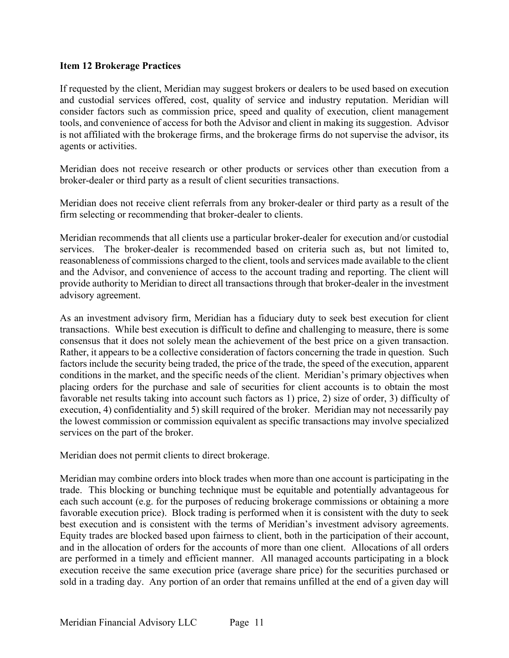## **Item 12 Brokerage Practices**

If requested by the client, Meridian may suggest brokers or dealers to be used based on execution and custodial services offered, cost, quality of service and industry reputation. Meridian will consider factors such as commission price, speed and quality of execution, client management tools, and convenience of access for both the Advisor and client in making its suggestion. Advisor is not affiliated with the brokerage firms, and the brokerage firms do not supervise the advisor, its agents or activities.

Meridian does not receive research or other products or services other than execution from a broker-dealer or third party as a result of client securities transactions.

Meridian does not receive client referrals from any broker-dealer or third party as a result of the firm selecting or recommending that broker-dealer to clients.

Meridian recommends that all clients use a particular broker-dealer for execution and/or custodial services. The broker-dealer is recommended based on criteria such as, but not limited to, reasonableness of commissions charged to the client, tools and services made available to the client and the Advisor, and convenience of access to the account trading and reporting. The client will provide authority to Meridian to direct all transactions through that broker-dealer in the investment advisory agreement.

As an investment advisory firm, Meridian has a fiduciary duty to seek best execution for client transactions. While best execution is difficult to define and challenging to measure, there is some consensus that it does not solely mean the achievement of the best price on a given transaction. Rather, it appears to be a collective consideration of factors concerning the trade in question. Such factors include the security being traded, the price of the trade, the speed of the execution, apparent conditions in the market, and the specific needs of the client. Meridian's primary objectives when placing orders for the purchase and sale of securities for client accounts is to obtain the most favorable net results taking into account such factors as 1) price, 2) size of order, 3) difficulty of execution, 4) confidentiality and 5) skill required of the broker. Meridian may not necessarily pay the lowest commission or commission equivalent as specific transactions may involve specialized services on the part of the broker.

Meridian does not permit clients to direct brokerage.

Meridian may combine orders into block trades when more than one account is participating in the trade. This blocking or bunching technique must be equitable and potentially advantageous for each such account (e.g. for the purposes of reducing brokerage commissions or obtaining a more favorable execution price). Block trading is performed when it is consistent with the duty to seek best execution and is consistent with the terms of Meridian's investment advisory agreements. Equity trades are blocked based upon fairness to client, both in the participation of their account, and in the allocation of orders for the accounts of more than one client. Allocations of all orders are performed in a timely and efficient manner. All managed accounts participating in a block execution receive the same execution price (average share price) for the securities purchased or sold in a trading day. Any portion of an order that remains unfilled at the end of a given day will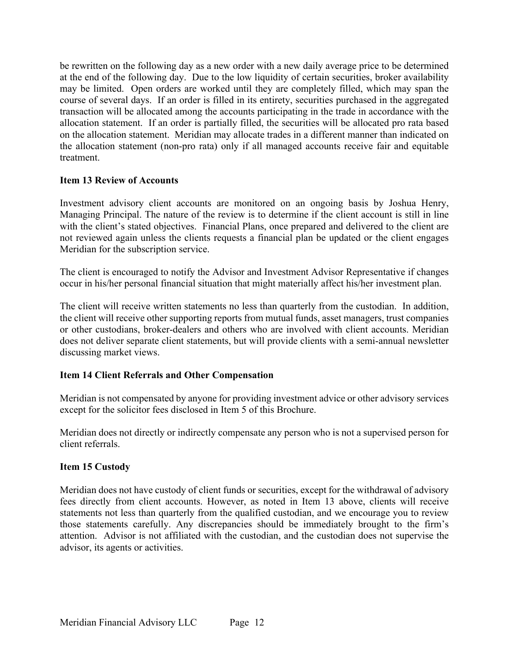be rewritten on the following day as a new order with a new daily average price to be determined at the end of the following day. Due to the low liquidity of certain securities, broker availability may be limited. Open orders are worked until they are completely filled, which may span the course of several days. If an order is filled in its entirety, securities purchased in the aggregated transaction will be allocated among the accounts participating in the trade in accordance with the allocation statement. If an order is partially filled, the securities will be allocated pro rata based on the allocation statement. Meridian may allocate trades in a different manner than indicated on the allocation statement (non-pro rata) only if all managed accounts receive fair and equitable treatment.

# **Item 13 Review of Accounts**

Investment advisory client accounts are monitored on an ongoing basis by Joshua Henry, Managing Principal. The nature of the review is to determine if the client account is still in line with the client's stated objectives. Financial Plans, once prepared and delivered to the client are not reviewed again unless the clients requests a financial plan be updated or the client engages Meridian for the subscription service.

The client is encouraged to notify the Advisor and Investment Advisor Representative if changes occur in his/her personal financial situation that might materially affect his/her investment plan.

The client will receive written statements no less than quarterly from the custodian. In addition, the client will receive other supporting reports from mutual funds, asset managers, trust companies or other custodians, broker-dealers and others who are involved with client accounts. Meridian does not deliver separate client statements, but will provide clients with a semi-annual newsletter discussing market views.

# **Item 14 Client Referrals and Other Compensation**

Meridian is not compensated by anyone for providing investment advice or other advisory services except for the solicitor fees disclosed in Item 5 of this Brochure.

Meridian does not directly or indirectly compensate any person who is not a supervised person for client referrals.

# **Item 15 Custody**

Meridian does not have custody of client funds or securities, except for the withdrawal of advisory fees directly from client accounts. However, as noted in Item 13 above, clients will receive statements not less than quarterly from the qualified custodian, and we encourage you to review those statements carefully. Any discrepancies should be immediately brought to the firm's attention. Advisor is not affiliated with the custodian, and the custodian does not supervise the advisor, its agents or activities.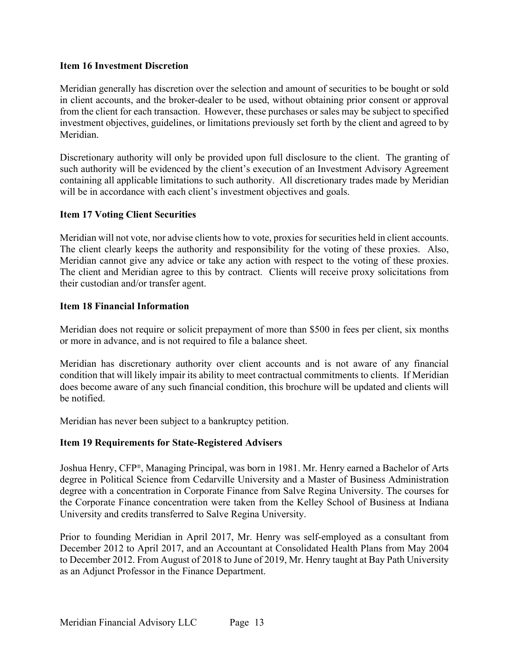## **Item 16 Investment Discretion**

Meridian generally has discretion over the selection and amount of securities to be bought or sold in client accounts, and the broker-dealer to be used, without obtaining prior consent or approval from the client for each transaction. However, these purchases or sales may be subject to specified investment objectives, guidelines, or limitations previously set forth by the client and agreed to by Meridian.

Discretionary authority will only be provided upon full disclosure to the client. The granting of such authority will be evidenced by the client's execution of an Investment Advisory Agreement containing all applicable limitations to such authority. All discretionary trades made by Meridian will be in accordance with each client's investment objectives and goals.

## **Item 17 Voting Client Securities**

Meridian will not vote, nor advise clients how to vote, proxies for securities held in client accounts. The client clearly keeps the authority and responsibility for the voting of these proxies. Also, Meridian cannot give any advice or take any action with respect to the voting of these proxies. The client and Meridian agree to this by contract. Clients will receive proxy solicitations from their custodian and/or transfer agent.

## **Item 18 Financial Information**

Meridian does not require or solicit prepayment of more than \$500 in fees per client, six months or more in advance, and is not required to file a balance sheet.

Meridian has discretionary authority over client accounts and is not aware of any financial condition that will likely impair its ability to meet contractual commitments to clients. If Meridian does become aware of any such financial condition, this brochure will be updated and clients will be notified.

Meridian has never been subject to a bankruptcy petition.

### **Item 19 Requirements for State-Registered Advisers**

Joshua Henry, CFP®, Managing Principal, was born in 1981. Mr. Henry earned a Bachelor of Arts degree in Political Science from Cedarville University and a Master of Business Administration degree with a concentration in Corporate Finance from Salve Regina University. The courses for the Corporate Finance concentration were taken from the Kelley School of Business at Indiana University and credits transferred to Salve Regina University.

Prior to founding Meridian in April 2017, Mr. Henry was self-employed as a consultant from December 2012 to April 2017, and an Accountant at Consolidated Health Plans from May 2004 to December 2012. From August of 2018 to June of 2019, Mr. Henry taught at Bay Path University as an Adjunct Professor in the Finance Department.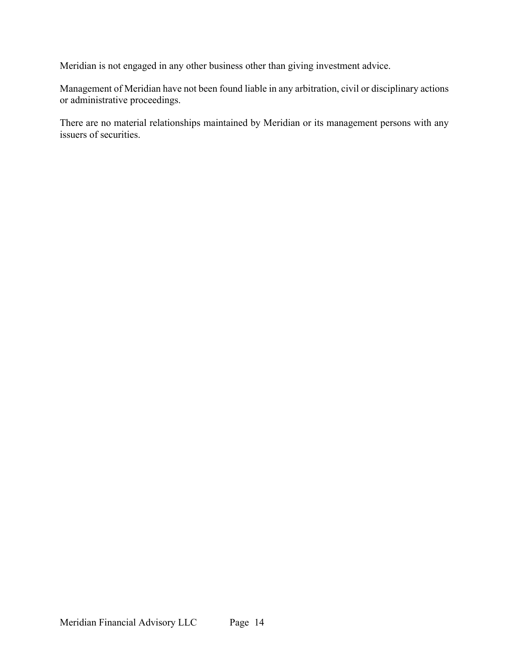Meridian is not engaged in any other business other than giving investment advice.

Management of Meridian have not been found liable in any arbitration, civil or disciplinary actions or administrative proceedings.

There are no material relationships maintained by Meridian or its management persons with any issuers of securities.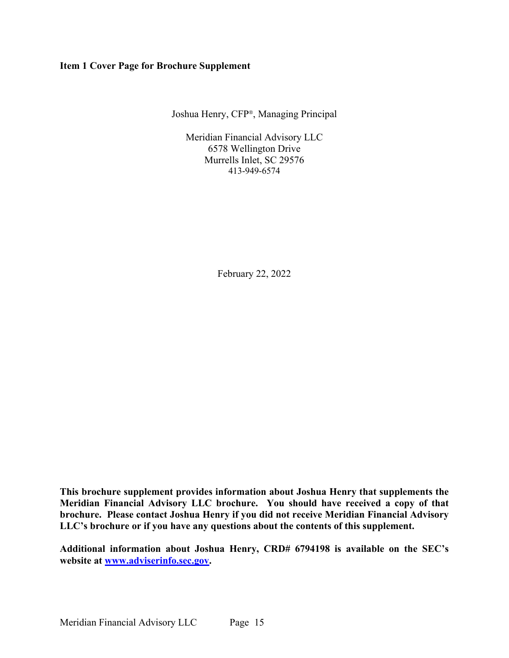#### **Item 1 Cover Page for Brochure Supplement**

Joshua Henry, CFP®, Managing Principal

Meridian Financial Advisory LLC 6578 Wellington Drive Murrells Inlet, SC 29576 413-949-6574

February 22, 2022

**This brochure supplement provides information about Joshua Henry that supplements the Meridian Financial Advisory LLC brochure. You should have received a copy of that brochure. Please contact Joshua Henry if you did not receive Meridian Financial Advisory LLC's brochure or if you have any questions about the contents of this supplement.**

**Additional information about Joshua Henry, CRD# 6794198 is available on the SEC's website at www.adviserinfo.sec.gov.**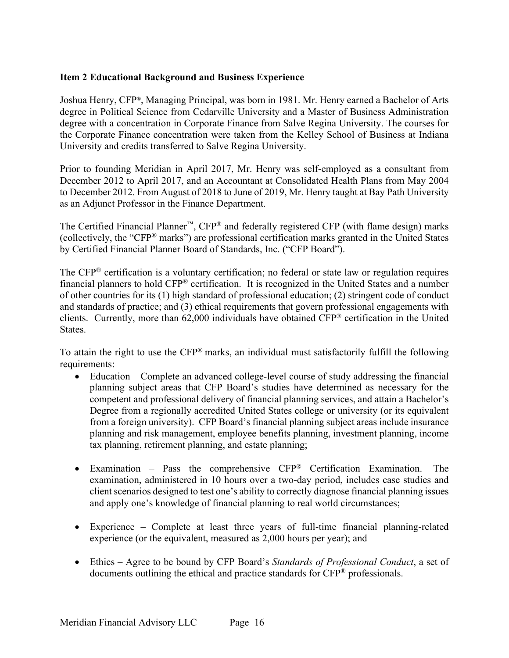## **Item 2 Educational Background and Business Experience**

Joshua Henry, CFP®, Managing Principal, was born in 1981. Mr. Henry earned a Bachelor of Arts degree in Political Science from Cedarville University and a Master of Business Administration degree with a concentration in Corporate Finance from Salve Regina University. The courses for the Corporate Finance concentration were taken from the Kelley School of Business at Indiana University and credits transferred to Salve Regina University.

Prior to founding Meridian in April 2017, Mr. Henry was self-employed as a consultant from December 2012 to April 2017, and an Accountant at Consolidated Health Plans from May 2004 to December 2012. From August of 2018 to June of 2019, Mr. Henry taught at Bay Path University as an Adjunct Professor in the Finance Department.

The Certified Financial Planner™, CFP® and federally registered CFP (with flame design) marks (collectively, the "CFP® marks") are professional certification marks granted in the United States by Certified Financial Planner Board of Standards, Inc. ("CFP Board").

The CFP® certification is a voluntary certification; no federal or state law or regulation requires financial planners to hold CFP® certification. It is recognized in the United States and a number of other countries for its (1) high standard of professional education; (2) stringent code of conduct and standards of practice; and (3) ethical requirements that govern professional engagements with clients. Currently, more than 62,000 individuals have obtained CFP® certification in the United States.

To attain the right to use the CFP® marks, an individual must satisfactorily fulfill the following requirements:

- Education Complete an advanced college-level course of study addressing the financial planning subject areas that CFP Board's studies have determined as necessary for the competent and professional delivery of financial planning services, and attain a Bachelor's Degree from a regionally accredited United States college or university (or its equivalent from a foreign university). CFP Board's financial planning subject areas include insurance planning and risk management, employee benefits planning, investment planning, income tax planning, retirement planning, and estate planning;
- Examination Pass the comprehensive CFP® Certification Examination. The examination, administered in 10 hours over a two-day period, includes case studies and client scenarios designed to test one's ability to correctly diagnose financial planning issues and apply one's knowledge of financial planning to real world circumstances;
- Experience Complete at least three years of full-time financial planning-related experience (or the equivalent, measured as 2,000 hours per year); and
- Ethics Agree to be bound by CFP Board's *Standards of Professional Conduct*, a set of documents outlining the ethical and practice standards for CFP® professionals.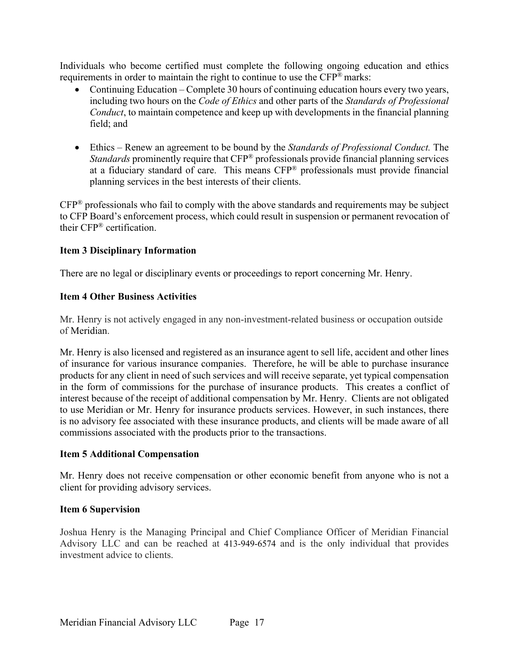Individuals who become certified must complete the following ongoing education and ethics requirements in order to maintain the right to continue to use the CFP® marks:

- Continuing Education Complete 30 hours of continuing education hours every two years, including two hours on the *Code of Ethics* and other parts of the *Standards of Professional Conduct*, to maintain competence and keep up with developments in the financial planning field; and
- Ethics Renew an agreement to be bound by the *Standards of Professional Conduct.* The *Standards* prominently require that CFP® professionals provide financial planning services at a fiduciary standard of care. This means CFP® professionals must provide financial planning services in the best interests of their clients.

CFP® professionals who fail to comply with the above standards and requirements may be subject to CFP Board's enforcement process, which could result in suspension or permanent revocation of their CFP® certification.

# **Item 3 Disciplinary Information**

There are no legal or disciplinary events or proceedings to report concerning Mr. Henry.

## **Item 4 Other Business Activities**

Mr. Henry is not actively engaged in any non-investment-related business or occupation outside of Meridian.

Mr. Henry is also licensed and registered as an insurance agent to sell life, accident and other lines of insurance for various insurance companies. Therefore, he will be able to purchase insurance products for any client in need of such services and will receive separate, yet typical compensation in the form of commissions for the purchase of insurance products. This creates a conflict of interest because of the receipt of additional compensation by Mr. Henry. Clients are not obligated to use Meridian or Mr. Henry for insurance products services. However, in such instances, there is no advisory fee associated with these insurance products, and clients will be made aware of all commissions associated with the products prior to the transactions.

### **Item 5 Additional Compensation**

Mr. Henry does not receive compensation or other economic benefit from anyone who is not a client for providing advisory services.

# **Item 6 Supervision**

Joshua Henry is the Managing Principal and Chief Compliance Officer of Meridian Financial Advisory LLC and can be reached at 413-949-6574 and is the only individual that provides investment advice to clients.